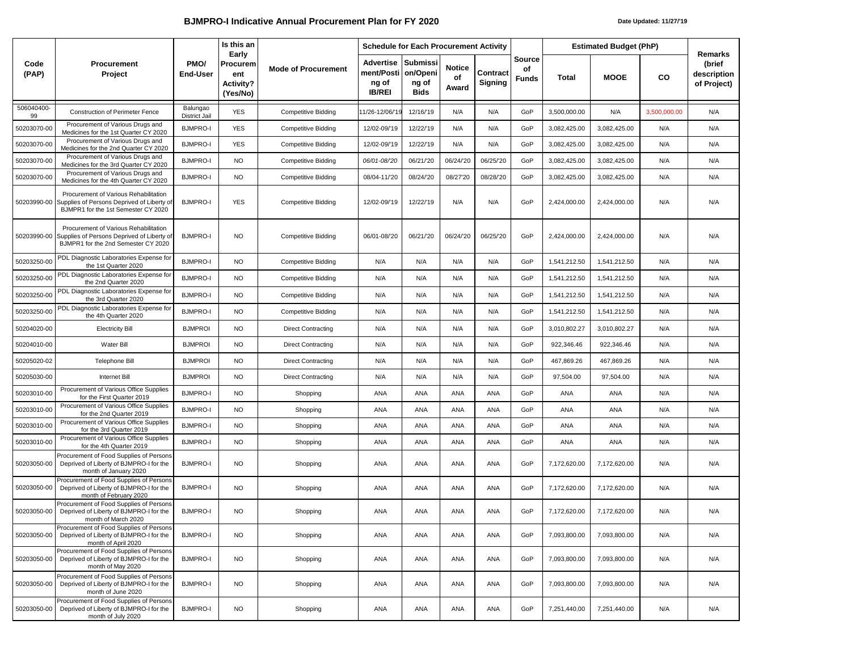## **BJMPRO-I Indicative Annual Procurement Plan for FY 2020** *Date Updated: 11/27/'19*

|                  | <b>Procurement</b><br>Project                                                                                                          | PMO/<br>End-User                 | Is this an<br>Early<br>Procurem<br>ent<br><b>Activity?</b><br>(Yes/No) | <b>Mode of Procurement</b> | <b>Schedule for Each Procurement Activity</b>     |                                              |                              |                     |                       | <b>Estimated Budget (PhP)</b> |              |              | Remarks                              |
|------------------|----------------------------------------------------------------------------------------------------------------------------------------|----------------------------------|------------------------------------------------------------------------|----------------------------|---------------------------------------------------|----------------------------------------------|------------------------------|---------------------|-----------------------|-------------------------------|--------------|--------------|--------------------------------------|
| Code<br>(PAP)    |                                                                                                                                        |                                  |                                                                        |                            | Advertise<br>ment/Posti<br>ng of<br><b>IB/REI</b> | Submissi<br>on/Openi<br>ng of<br><b>Bids</b> | <b>Notice</b><br>of<br>Award | Contract<br>Signing | Source<br>of<br>Funds | Total                         | <b>MOOE</b>  | CO           | (brief<br>description<br>of Project) |
| 506040400-<br>99 | Construction of Perimeter Fence                                                                                                        | Balungao<br><b>District Jail</b> | <b>YES</b>                                                             | <b>Competitive Bidding</b> | 11/26-12/06/'19                                   | 12/16/'19                                    | N/A                          | N/A                 | GoP                   | 3,500,000.00                  | N/A          | 3,500,000.00 | N/A                                  |
| 50203070-00      | Procurement of Various Drugs and<br>Medicines for the 1st Quarter CY 2020                                                              | <b>BJMPRO-I</b>                  | <b>YES</b>                                                             | <b>Competitive Bidding</b> | 12/02-09/'19                                      | 12/22/'19                                    | N/A                          | N/A                 | GoP                   | 3,082,425.00                  | 3,082,425.00 | N/A          | N/A                                  |
| 50203070-00      | Procurement of Various Drugs and<br>Medicines for the 2nd Quarter CY 2020                                                              | <b>BJMPRO-I</b>                  | <b>YES</b>                                                             | <b>Competitive Bidding</b> | 12/02-09/'19                                      | 12/22/'19                                    | N/A                          | N/A                 | GoP                   | 3,082,425.00                  | 3,082,425.00 | N/A          | N/A                                  |
| 50203070-00      | Procurement of Various Drugs and<br>Medicines for the 3rd Quarter CY 2020                                                              | <b>BJMPRO-I</b>                  | <b>NO</b>                                                              | <b>Competitive Bidding</b> | 06/01-08/20                                       | 06/21/20                                     | 06/24/20                     | 06/25/'20           | GoP                   | 3,082,425.00                  | 3,082,425.00 | N/A          | N/A                                  |
| 50203070-00      | Procurement of Various Drugs and<br>Medicines for the 4th Quarter CY 2020                                                              | <b>BJMPRO-I</b>                  | <b>NO</b>                                                              | <b>Competitive Bidding</b> | 08/04-11/20                                       | 08/24/'20                                    | 08/27'20                     | 08/28/20            | GoP                   | 3,082,425.00                  | 3,082,425.00 | N/A          | N/A                                  |
|                  | Procurement of Various Rehabilitation<br>50203990-00 Supplies of Persons Deprived of Liberty of<br>BJMPR1 for the 1st Semester CY 2020 | <b>BJMPRO-I</b>                  | <b>YES</b>                                                             | <b>Competitive Bidding</b> | 12/02-09/'19                                      | 12/22/'19                                    | N/A                          | N/A                 | GoP                   | 2,424,000.00                  | 2,424,000.00 | N/A          | N/A                                  |
| 50203990-00      | Procurement of Various Rehabilitation<br>Supplies of Persons Deprived of Liberty of<br>BJMPR1 for the 2nd Semester CY 2020             | <b>BJMPRO-I</b>                  | <b>NO</b>                                                              | <b>Competitive Bidding</b> | 06/01-08/'20                                      | 06/21/20                                     | 06/24/20                     | 06/25/20            | GoP                   | 2,424,000.00                  | 2,424,000.00 | N/A          | N/A                                  |
| 50203250-00      | PDL Diagnostic Laboratories Expense for<br>the 1st Quarter 2020                                                                        | <b>BJMPRO-I</b>                  | <b>NO</b>                                                              | <b>Competitive Bidding</b> | N/A                                               | N/A                                          | N/A                          | N/A                 | GoP                   | 1,541,212.50                  | 1,541,212.50 | N/A          | N/A                                  |
| 50203250-00      | PDL Diagnostic Laboratories Expense for<br>the 2nd Quarter 2020                                                                        | <b>BJMPRO-I</b>                  | <b>NO</b>                                                              | <b>Competitive Bidding</b> | N/A                                               | N/A                                          | N/A                          | N/A                 | GoP                   | 1,541,212.50                  | 1,541,212.50 | N/A          | N/A                                  |
| 50203250-00      | PDL Diagnostic Laboratories Expense for<br>the 3rd Quarter 2020                                                                        | <b>BJMPRO-I</b>                  | <b>NO</b>                                                              | <b>Competitive Bidding</b> | N/A                                               | N/A                                          | N/A                          | N/A                 | GoP                   | 1,541,212.50                  | 1,541,212.50 | N/A          | N/A                                  |
| 50203250-00      | PDL Diagnostic Laboratories Expense for<br>the 4th Quarter 2020                                                                        | <b>BJMPRO-I</b>                  | <b>NO</b>                                                              | <b>Competitive Bidding</b> | N/A                                               | N/A                                          | N/A                          | N/A                 | GoP                   | 1,541,212.50                  | 1,541,212.50 | N/A          | N/A                                  |
| 50204020-00      | <b>Electricity Bill</b>                                                                                                                | <b>BJMPROI</b>                   | <b>NO</b>                                                              | <b>Direct Contracting</b>  | N/A                                               | N/A                                          | N/A                          | N/A                 | GoP                   | 3,010,802.27                  | 3,010,802.27 | N/A          | N/A                                  |
| 50204010-00      | Water Bill                                                                                                                             | <b>BJMPROI</b>                   | <b>NO</b>                                                              | <b>Direct Contracting</b>  | N/A                                               | N/A                                          | N/A                          | N/A                 | GoP                   | 922,346.46                    | 922,346.46   | N/A          | N/A                                  |
| 50205020-02      | <b>Telephone Bill</b>                                                                                                                  | <b>BJMPROI</b>                   | NO                                                                     | <b>Direct Contracting</b>  | N/A                                               | N/A                                          | N/A                          | N/A                 | GoP                   | 467,869.26                    | 467,869.26   | N/A          | N/A                                  |
| 50205030-00      | Internet Bill                                                                                                                          | <b>BJMPROI</b>                   | <b>NO</b>                                                              | <b>Direct Contracting</b>  | N/A                                               | N/A                                          | N/A                          | N/A                 | GoP                   | 97,504.00                     | 97,504.00    | N/A          | N/A                                  |
| 50203010-00      | Procurement of Various Office Supplies<br>for the First Quarter 2019                                                                   | <b>BJMPRO-I</b>                  | NO                                                                     | Shopping                   | ANA                                               | ANA                                          | ANA                          | ANA                 | GoP                   | ANA                           | ANA          | N/A          | N/A                                  |
| 50203010-00      | Procurement of Various Office Supplies<br>for the 2nd Quarter 2019                                                                     | <b>BJMPRO-I</b>                  | <b>NO</b>                                                              | Shopping                   | ANA                                               | ANA                                          | ANA                          | ANA                 | GoP                   | ANA                           | ANA          | N/A          | N/A                                  |
| 50203010-00      | Procurement of Various Office Supplies<br>for the 3rd Quarter 2019                                                                     | <b>BJMPRO-I</b>                  | NO.                                                                    | Shopping                   | ANA                                               | ANA                                          | ANA                          | ANA                 | GoP                   | ANA                           | ANA          | N/A          | N/A                                  |
| 50203010-00      | Procurement of Various Office Supplies<br>for the 4th Quarter 2019                                                                     | <b>BJMPRO-I</b>                  | <b>NO</b>                                                              | Shopping                   | ANA                                               | ANA                                          | ANA                          | ANA                 | GoP                   | ANA                           | ANA          | N/A          | N/A                                  |
| 50203050-00      | Procurement of Food Supplies of Persons<br>Deprived of Liberty of BJMPRO-I for the<br>month of January 2020                            | <b>BJMPRO-I</b>                  | <b>NO</b>                                                              | Shopping                   | ANA                                               | ANA                                          | ANA                          | ANA                 | GoP                   | 7,172,620.00                  | 7,172,620.00 | N/A          | N/A                                  |
| 50203050-00      | Procurement of Food Supplies of Persons<br>Deprived of Liberty of BJMPRO-I for the<br>month of February 2020                           | <b>BJMPRO-I</b>                  | <b>NO</b>                                                              | Shopping                   | ANA                                               | ANA                                          | ANA                          | ANA                 | GoP                   | 7,172,620.00                  | 7,172,620.00 | N/A          | N/A                                  |
| 50203050-00      | Procurement of Food Supplies of Persons<br>Deprived of Liberty of BJMPRO-I for the<br>month of March 2020                              | <b>BJMPRO-I</b>                  | <b>NO</b>                                                              | Shopping                   | ANA                                               | ANA                                          | ANA                          | ANA                 | GoP                   | 7,172,620.00                  | 7,172,620.00 | N/A          | N/A                                  |
| 50203050-00      | Procurement of Food Supplies of Persons<br>Deprived of Liberty of BJMPRO-I for the<br>month of April 2020                              | <b>BJMPRO-I</b>                  | NO.                                                                    | Shopping                   | ANA                                               | <b>ANA</b>                                   | ANA                          | ANA                 | GoP                   | 7,093,800.00                  | 7,093,800.00 | N/A          | N/A                                  |
| 50203050-00      | Procurement of Food Supplies of Persons<br>Deprived of Liberty of BJMPRO-I for the<br>month of May 2020                                | <b>BJMPRO-I</b>                  | <b>NO</b>                                                              | Shopping                   | ANA                                               | ANA                                          | ANA                          | ANA                 | GoP                   | 7,093,800.00                  | 7,093,800.00 | N/A          | N/A                                  |
| 50203050-00      | Procurement of Food Supplies of Persons<br>Deprived of Liberty of BJMPRO-I for the<br>month of June 2020                               | <b>BJMPRO-I</b>                  | <b>NO</b>                                                              | Shopping                   | ANA                                               | ANA                                          | ANA                          | ANA                 | GoP                   | 7,093,800.00                  | 7,093,800.00 | N/A          | N/A                                  |
| 50203050-00      | Procurement of Food Supplies of Persons<br>Deprived of Liberty of BJMPRO-I for the<br>month of July 2020                               | <b>BJMPRO-I</b>                  | <b>NO</b>                                                              | Shopping                   | ANA                                               | ANA                                          | ANA                          | ANA                 | GoP                   | 7,251,440.00                  | 7,251,440.00 | N/A          | N/A                                  |
|                  |                                                                                                                                        |                                  |                                                                        |                            |                                                   |                                              |                              |                     |                       |                               |              |              |                                      |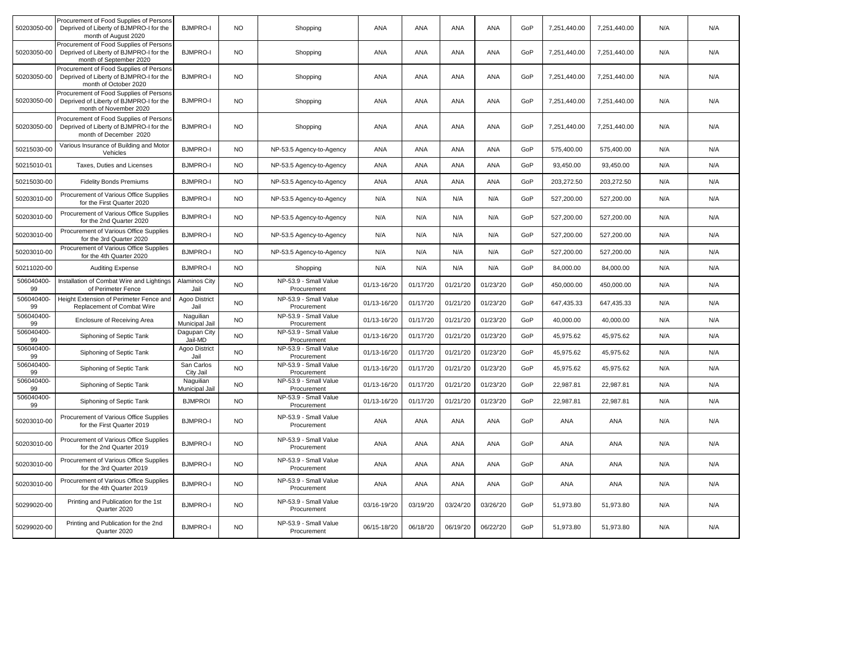| 50203050-00      | Procurement of Food Supplies of Persons<br>Deprived of Liberty of BJMPRO-I for the<br>month of August 2020    | <b>BJMPRO-I</b>              | <b>NO</b> | Shopping                             | <b>ANA</b>   | <b>ANA</b> | <b>ANA</b> | ANA      | GoP | 7,251,440.00 | 7,251,440.00 | N/A | N/A |
|------------------|---------------------------------------------------------------------------------------------------------------|------------------------------|-----------|--------------------------------------|--------------|------------|------------|----------|-----|--------------|--------------|-----|-----|
| 50203050-00      | Procurement of Food Supplies of Persons<br>Deprived of Liberty of BJMPRO-I for the<br>month of September 2020 | <b>BJMPRO-I</b>              | <b>NO</b> | Shopping                             | ANA          | <b>ANA</b> | <b>ANA</b> | ANA      | GoP | 7,251,440.00 | 7,251,440.00 | N/A | N/A |
| 50203050-00      | Procurement of Food Supplies of Persons<br>Deprived of Liberty of BJMPRO-I for the<br>month of October 2020   | <b>BJMPRO-I</b>              | NO.       | Shopping                             | ANA          | ANA        | <b>ANA</b> | ANA      | GoP | 7,251,440.00 | 7,251,440.00 | N/A | N/A |
| 50203050-00      | Procurement of Food Supplies of Persons<br>Deprived of Liberty of BJMPRO-I for the<br>month of November 2020  | <b>BJMPRO-I</b>              | <b>NO</b> | Shopping                             | ANA          | ANA        | ANA        | ANA      | GoP | 7,251,440.00 | 7,251,440.00 | N/A | N/A |
| 50203050-00      | Procurement of Food Supplies of Persons<br>Deprived of Liberty of BJMPRO-I for the<br>month of December 2020  | <b>BJMPRO-I</b>              | <b>NO</b> | Shopping                             | ANA          | <b>ANA</b> | <b>ANA</b> | ANA      | GoP | 7,251,440.00 | 7,251,440.00 | N/A | N/A |
| 50215030-00      | Various Insurance of Building and Motor<br>Vehicles                                                           | <b>BJMPRO-I</b>              | <b>NO</b> | NP-53.5 Agency-to-Agency             | ANA          | <b>ANA</b> | <b>ANA</b> | ANA      | GoP | 575,400.00   | 575,400.00   | N/A | N/A |
| 50215010-01      | Taxes, Duties and Licenses                                                                                    | <b>BJMPRO-I</b>              | <b>NO</b> | NP-53.5 Agency-to-Agency             | ANA          | <b>ANA</b> | <b>ANA</b> | ANA      | GoP | 93,450.00    | 93,450.00    | N/A | N/A |
| 50215030-00      | <b>Fidelity Bonds Premiums</b>                                                                                | <b>BJMPRO-I</b>              | <b>NO</b> | NP-53.5 Agency-to-Agency             | ANA          | ANA        | ANA        | ANA      | GoP | 203,272.50   | 203,272.50   | N/A | N/A |
| 50203010-00      | Procurement of Various Office Supplies<br>for the First Quarter 2020                                          | <b>BJMPRO-I</b>              | <b>NO</b> | NP-53.5 Agency-to-Agency             | N/A          | N/A        | N/A        | N/A      | GoP | 527,200.00   | 527,200.00   | N/A | N/A |
| 50203010-00      | Procurement of Various Office Supplies<br>for the 2nd Quarter 2020                                            | <b>BJMPRO-I</b>              | NO.       | NP-53.5 Agency-to-Agency             | N/A          | N/A        | N/A        | N/A      | GoP | 527,200.00   | 527,200.00   | N/A | N/A |
| 50203010-00      | Procurement of Various Office Supplies<br>for the 3rd Quarter 2020                                            | <b>BJMPRO-I</b>              | <b>NO</b> | NP-53.5 Agency-to-Agency             | N/A          | N/A        | N/A        | N/A      | GoP | 527,200.00   | 527,200.00   | N/A | N/A |
| 50203010-00      | Procurement of Various Office Supplies<br>for the 4th Quarter 2020                                            | <b>BJMPRO-I</b>              | <b>NO</b> | NP-53.5 Agency-to-Agency             | N/A          | N/A        | N/A        | N/A      | GoP | 527,200.00   | 527,200.00   | N/A | N/A |
| 50211020-00      | <b>Auditing Expense</b>                                                                                       | <b>BJMPRO-I</b>              | <b>NO</b> | Shopping                             | N/A          | N/A        | N/A        | N/A      | GoP | 84,000.00    | 84,000.00    | N/A | N/A |
| 506040400-<br>99 | Installation of Combat Wire and Lightings<br>of Perimeter Fence                                               | <b>Alaminos City</b><br>Jail | <b>NO</b> | NP-53.9 - Small Value<br>Procurement | 01/13-16/20  | 01/17/20   | 01/21/20   | 01/23/20 | GoP | 450,000.00   | 450,000.00   | N/A | N/A |
| 506040400-<br>99 | Height Extension of Perimeter Fence and<br>Replacement of Combat Wire                                         | Agoo District<br>Jail        | <b>NO</b> | NP-53.9 - Small Value<br>Procurement | 01/13-16/'20 | 01/17/20   | 01/21/20   | 01/23/20 | GoP | 647,435.33   | 647,435.33   | N/A | N/A |
| 506040400-<br>99 | Enclosure of Receiving Area                                                                                   | Naguilian<br>Municipal Jail  | <b>NO</b> | NP-53.9 - Small Value<br>Procurement | 01/13-16/'20 | 01/17/20   | 01/21/20   | 01/23/20 | GoP | 40,000.00    | 40,000.00    | N/A | N/A |
| 506040400-<br>99 | Siphoning of Septic Tank                                                                                      | Dagupan City<br>Jail-MD      | <b>NO</b> | NP-53.9 - Small Value<br>Procurement | 01/13-16/20  | 01/17/20   | 01/21/20   | 01/23/20 | GoP | 45,975.62    | 45,975.62    | N/A | N/A |
| 506040400-<br>99 | Siphoning of Septic Tank                                                                                      | Agoo District<br>Jail        | <b>NO</b> | NP-53.9 - Small Value<br>Procurement | 01/13-16/20  | 01/17/20   | 01/21/20   | 01/23/20 | GoP | 45,975.62    | 45,975.62    | N/A | N/A |
| 506040400-<br>99 | Siphoning of Septic Tank                                                                                      | San Carlos<br>City Jail      | <b>NO</b> | NP-53.9 - Small Value<br>Procurement | 01/13-16/20  | 01/17/20   | 01/21/20   | 01/23/20 | GoP | 45,975.62    | 45,975.62    | N/A | N/A |
| 506040400-<br>99 | Siphoning of Septic Tank                                                                                      | Naguilian<br>Municipal Jail  | <b>NO</b> | NP-53.9 - Small Value<br>Procurement | 01/13-16/20  | 01/17/20   | 01/21/20   | 01/23/20 | GoP | 22,987.81    | 22,987.81    | N/A | N/A |
| 506040400-<br>99 | Siphoning of Septic Tank                                                                                      | <b>BJMPROI</b>               | <b>NO</b> | NP-53.9 - Small Value<br>Procurement | 01/13-16/'20 | 01/17/20   | 01/21/20   | 01/23/20 | GoP | 22,987.81    | 22,987.81    | N/A | N/A |
| 50203010-00      | Procurement of Various Office Supplies<br>for the First Quarter 2019                                          | <b>BJMPRO-I</b>              | NO.       | NP-53.9 - Small Value<br>Procurement | <b>ANA</b>   | ANA        | ANA        | ANA      | GoP | ANA          | ANA          | N/A | N/A |
| 50203010-00      | Procurement of Various Office Supplies<br>for the 2nd Quarter 2019                                            | <b>BJMPRO-I</b>              | <b>NO</b> | NP-53.9 - Small Value<br>Procurement | ANA          | ANA        | ANA        | ANA      | GoP | ANA          | ANA          | N/A | N/A |
| 50203010-00      | Procurement of Various Office Supplies<br>for the 3rd Quarter 2019                                            | <b>BJMPRO-I</b>              | <b>NO</b> | NP-53.9 - Small Value<br>Procurement | ANA          | ANA        | ANA        | ANA      | GoP | ANA          | ANA          | N/A | N/A |
| 50203010-00      | Procurement of Various Office Supplies<br>for the 4th Quarter 2019                                            | <b>BJMPRO-I</b>              | <b>NO</b> | NP-53.9 - Small Value<br>Procurement | ANA          | <b>ANA</b> | <b>ANA</b> | ANA      | GoP | ANA          | ANA          | N/A | N/A |
| 50299020-00      | Printing and Publication for the 1st<br>Quarter 2020                                                          | <b>BJMPRO-I</b>              | <b>NO</b> | NP-53.9 - Small Value<br>Procurement | 03/16-19/20  | 03/19/20   | 03/24/20   | 03/26/20 | GoP | 51,973.80    | 51,973.80    | N/A | N/A |
| 50299020-00      | Printing and Publication for the 2nd<br>Quarter 2020                                                          | <b>BJMPRO-I</b>              | <b>NO</b> | NP-53.9 - Small Value<br>Procurement | 06/15-18/'20 | 06/18/20   | 06/19/20   | 06/22/20 | GoP | 51,973.80    | 51,973.80    | N/A | N/A |